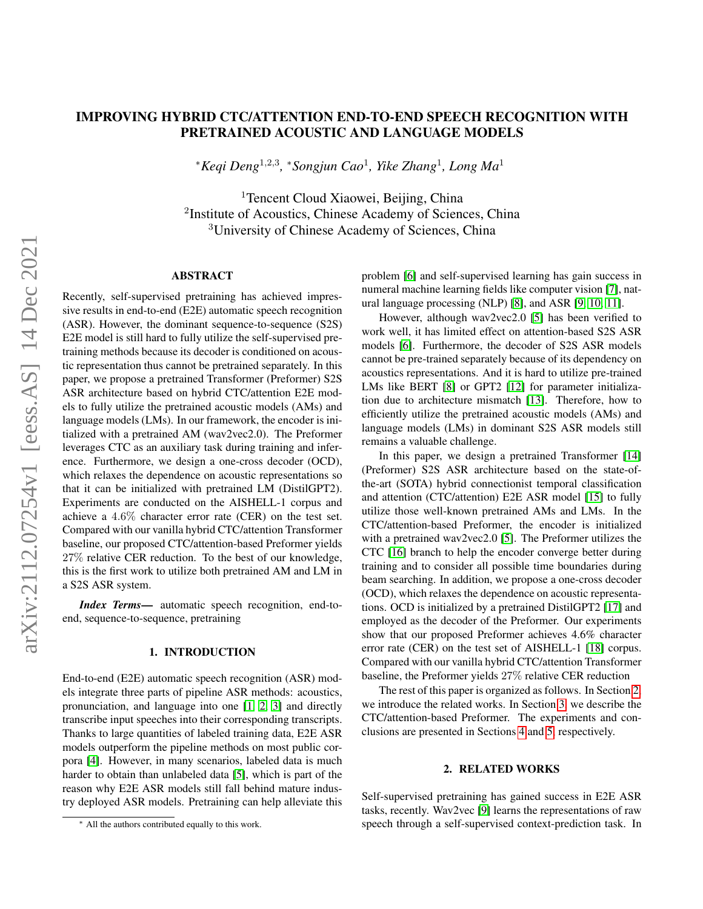# IMPROVING HYBRID CTC/ATTENTION END-TO-END SPEECH RECOGNITION WITH PRETRAINED ACOUSTIC AND LANGUAGE MODELS

<sup>∗</sup>*Keqi Deng*<sup>1</sup>,2,<sup>3</sup> *,* <sup>∗</sup>*Songjun Cao*<sup>1</sup> *, Yike Zhang*<sup>1</sup> *, Long Ma*<sup>1</sup>

<sup>1</sup>Tencent Cloud Xiaowei, Beijing, China <sup>2</sup>Institute of Acoustics, Chinese Academy of Sciences, China <sup>3</sup>University of Chinese Academy of Sciences, China

## ABSTRACT

Recently, self-supervised pretraining has achieved impressive results in end-to-end (E2E) automatic speech recognition (ASR). However, the dominant sequence-to-sequence (S2S) E2E model is still hard to fully utilize the self-supervised pretraining methods because its decoder is conditioned on acoustic representation thus cannot be pretrained separately. In this paper, we propose a pretrained Transformer (Preformer) S2S ASR architecture based on hybrid CTC/attention E2E models to fully utilize the pretrained acoustic models (AMs) and language models (LMs). In our framework, the encoder is initialized with a pretrained AM (wav2vec2.0). The Preformer leverages CTC as an auxiliary task during training and inference. Furthermore, we design a one-cross decoder (OCD), which relaxes the dependence on acoustic representations so that it can be initialized with pretrained LM (DistilGPT2). Experiments are conducted on the AISHELL-1 corpus and achieve a 4.6% character error rate (CER) on the test set. Compared with our vanilla hybrid CTC/attention Transformer baseline, our proposed CTC/attention-based Preformer yields 27% relative CER reduction. To the best of our knowledge, this is the first work to utilize both pretrained AM and LM in a S2S ASR system.

*Index Terms*— automatic speech recognition, end-toend, sequence-to-sequence, pretraining

# 1. INTRODUCTION

End-to-end (E2E) automatic speech recognition (ASR) models integrate three parts of pipeline ASR methods: acoustics, pronunciation, and language into one [\[1,](#page-4-0) [2,](#page-4-1) [3\]](#page-4-2) and directly transcribe input speeches into their corresponding transcripts. Thanks to large quantities of labeled training data, E2E ASR models outperform the pipeline methods on most public corpora [\[4\]](#page-4-3). However, in many scenarios, labeled data is much harder to obtain than unlabeled data [\[5\]](#page-4-4), which is part of the reason why E2E ASR models still fall behind mature industry deployed ASR models. Pretraining can help alleviate this

problem [\[6\]](#page-4-5) and self-supervised learning has gain success in numeral machine learning fields like computer vision [\[7\]](#page-5-0), natural language processing (NLP) [\[8\]](#page-5-1), and ASR [\[9,](#page-5-2) [10,](#page-5-3) [11\]](#page-5-4).

However, although wav2vec2.0 [\[5\]](#page-4-4) has been verified to work well, it has limited effect on attention-based S2S ASR models [\[6\]](#page-4-5). Furthermore, the decoder of S2S ASR models cannot be pre-trained separately because of its dependency on acoustics representations. And it is hard to utilize pre-trained LMs like BERT [\[8\]](#page-5-1) or GPT2 [\[12\]](#page-5-5) for parameter initialization due to architecture mismatch [\[13\]](#page-5-6). Therefore, how to efficiently utilize the pretrained acoustic models (AMs) and language models (LMs) in dominant S2S ASR models still remains a valuable challenge.

In this paper, we design a pretrained Transformer [\[14\]](#page-5-7) (Preformer) S2S ASR architecture based on the state-ofthe-art (SOTA) hybrid connectionist temporal classification and attention (CTC/attention) E2E ASR model [\[15\]](#page-5-8) to fully utilize those well-known pretrained AMs and LMs. In the CTC/attention-based Preformer, the encoder is initialized with a pretrained wav2vec2.0 [\[5\]](#page-4-4). The Preformer utilizes the CTC [\[16\]](#page-5-9) branch to help the encoder converge better during training and to consider all possible time boundaries during beam searching. In addition, we propose a one-cross decoder (OCD), which relaxes the dependence on acoustic representations. OCD is initialized by a pretrained DistilGPT2 [\[17\]](#page-5-10) and employed as the decoder of the Preformer. Our experiments show that our proposed Preformer achieves 4.6% character error rate (CER) on the test set of AISHELL-1 [\[18\]](#page-5-11) corpus. Compared with our vanilla hybrid CTC/attention Transformer baseline, the Preformer yields 27% relative CER reduction

The rest of this paper is organized as follows. In Section [2,](#page-0-0) we introduce the related works. In Section [3,](#page-1-0) we describe the CTC/attention-based Preformer. The experiments and conclusions are presented in Sections [4](#page-2-0) and [5,](#page-4-6) respectively.

# 2. RELATED WORKS

<span id="page-0-0"></span>Self-supervised pretraining has gained success in E2E ASR tasks, recently. Wav2vec [\[9\]](#page-5-2) learns the representations of raw speech through a self-supervised context-prediction task. In

<sup>∗</sup> All the authors contributed equally to this work.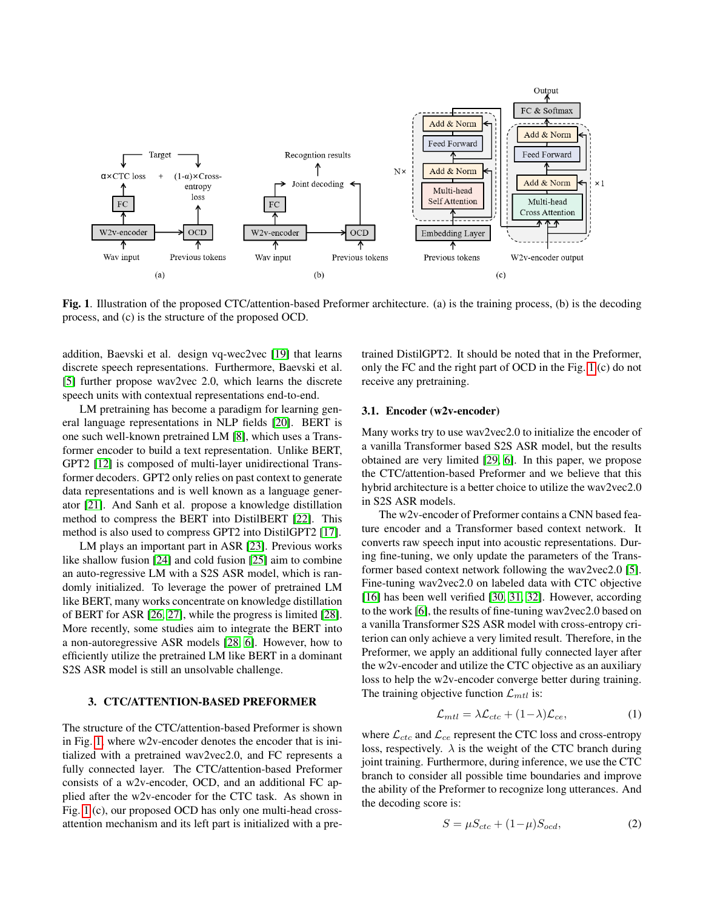

<span id="page-1-1"></span>Fig. 1. Illustration of the proposed CTC/attention-based Preformer architecture. (a) is the training process, (b) is the decoding process, and (c) is the structure of the proposed OCD.

addition, Baevski et al. design vq-wec2vec [\[19\]](#page-5-12) that learns discrete speech representations. Furthermore, Baevski et al. [\[5\]](#page-4-4) further propose wav2vec 2.0, which learns the discrete speech units with contextual representations end-to-end.

LM pretraining has become a paradigm for learning general language representations in NLP fields [\[20\]](#page-5-13). BERT is one such well-known pretrained LM [\[8\]](#page-5-1), which uses a Transformer encoder to build a text representation. Unlike BERT, GPT2 [\[12\]](#page-5-5) is composed of multi-layer unidirectional Transformer decoders. GPT2 only relies on past context to generate data representations and is well known as a language generator [\[21\]](#page-5-14). And Sanh et al. propose a knowledge distillation method to compress the BERT into DistilBERT [\[22\]](#page-5-15). This method is also used to compress GPT2 into DistilGPT2 [\[17\]](#page-5-10).

LM plays an important part in ASR [\[23\]](#page-5-16). Previous works like shallow fusion [\[24\]](#page-6-0) and cold fusion [\[25\]](#page-6-1) aim to combine an auto-regressive LM with a S2S ASR model, which is randomly initialized. To leverage the power of pretrained LM like BERT, many works concentrate on knowledge distillation of BERT for ASR [\[26,](#page-6-2) [27\]](#page-6-3), while the progress is limited [\[28\]](#page-6-4). More recently, some studies aim to integrate the BERT into a non-autoregressive ASR models [\[28,](#page-6-4) [6\]](#page-4-5). However, how to efficiently utilize the pretrained LM like BERT in a dominant S2S ASR model is still an unsolvable challenge.

# <span id="page-1-0"></span>3. CTC/ATTENTION-BASED PREFORMER

The structure of the CTC/attention-based Preformer is shown in Fig. [1,](#page-1-1) where w2v-encoder denotes the encoder that is initialized with a pretrained wav2vec2.0, and FC represents a fully connected layer. The CTC/attention-based Preformer consists of a w2v-encoder, OCD, and an additional FC applied after the w2v-encoder for the CTC task. As shown in Fig. [1](#page-1-1) (c), our proposed OCD has only one multi-head crossattention mechanism and its left part is initialized with a pretrained DistilGPT2. It should be noted that in the Preformer, only the FC and the right part of OCD in the Fig. [1](#page-1-1) (c) do not receive any pretraining.

#### 3.1. Encoder (w2v-encoder)

Many works try to use wav2vec2.0 to initialize the encoder of a vanilla Transformer based S2S ASR model, but the results obtained are very limited [\[29,](#page-6-5) [6\]](#page-4-5). In this paper, we propose the CTC/attention-based Preformer and we believe that this hybrid architecture is a better choice to utilize the wav2vec2.0 in S2S ASR models.

The w2v-encoder of Preformer contains a CNN based feature encoder and a Transformer based context network. It converts raw speech input into acoustic representations. During fine-tuning, we only update the parameters of the Transformer based context network following the wav2vec2.0 [\[5\]](#page-4-4). Fine-tuning wav2vec2.0 on labeled data with CTC objective [\[16\]](#page-5-9) has been well verified [\[30,](#page-6-6) [31,](#page-6-7) [32\]](#page-6-8). However, according to the work [\[6\]](#page-4-5), the results of fine-tuning wav2vec2.0 based on a vanilla Transformer S2S ASR model with cross-entropy criterion can only achieve a very limited result. Therefore, in the Preformer, we apply an additional fully connected layer after the w2v-encoder and utilize the CTC objective as an auxiliary loss to help the w2v-encoder converge better during training. The training objective function  $\mathcal{L}_{mtl}$  is:

$$
\mathcal{L}_{mtl} = \lambda \mathcal{L}_{ctc} + (1 - \lambda) \mathcal{L}_{ce},\tag{1}
$$

where  $\mathcal{L}_{ctc}$  and  $\mathcal{L}_{ce}$  represent the CTC loss and cross-entropy loss, respectively.  $\lambda$  is the weight of the CTC branch during joint training. Furthermore, during inference, we use the CTC branch to consider all possible time boundaries and improve the ability of the Preformer to recognize long utterances. And the decoding score is:

$$
S = \mu S_{ctc} + (1 - \mu) S_{ocd},\tag{2}
$$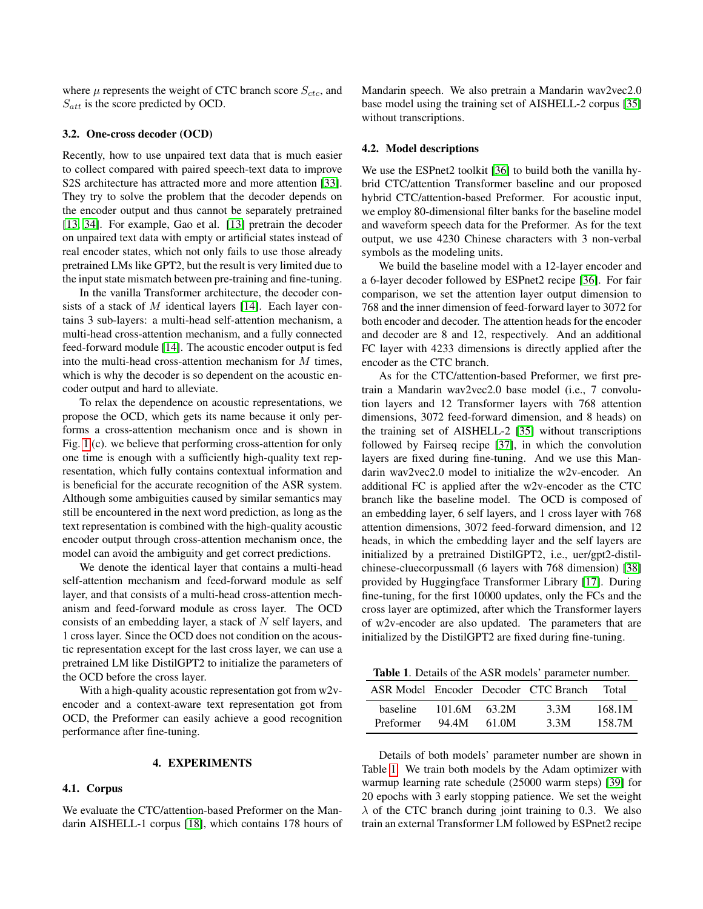where  $\mu$  represents the weight of CTC branch score  $S_{ctc}$ , and  $S_{att}$  is the score predicted by OCD.

## 3.2. One-cross decoder (OCD)

Recently, how to use unpaired text data that is much easier to collect compared with paired speech-text data to improve S2S architecture has attracted more and more attention [\[33\]](#page-6-9). They try to solve the problem that the decoder depends on the encoder output and thus cannot be separately pretrained [\[13,](#page-5-6) [34\]](#page-6-10). For example, Gao et al. [\[13\]](#page-5-6) pretrain the decoder on unpaired text data with empty or artificial states instead of real encoder states, which not only fails to use those already pretrained LMs like GPT2, but the result is very limited due to the input state mismatch between pre-training and fine-tuning.

In the vanilla Transformer architecture, the decoder con-sists of a stack of M identical layers [\[14\]](#page-5-7). Each layer contains 3 sub-layers: a multi-head self-attention mechanism, a multi-head cross-attention mechanism, and a fully connected feed-forward module [\[14\]](#page-5-7). The acoustic encoder output is fed into the multi-head cross-attention mechanism for M times, which is why the decoder is so dependent on the acoustic encoder output and hard to alleviate.

To relax the dependence on acoustic representations, we propose the OCD, which gets its name because it only performs a cross-attention mechanism once and is shown in Fig. [1](#page-1-1) (c). we believe that performing cross-attention for only one time is enough with a sufficiently high-quality text representation, which fully contains contextual information and is beneficial for the accurate recognition of the ASR system. Although some ambiguities caused by similar semantics may still be encountered in the next word prediction, as long as the text representation is combined with the high-quality acoustic encoder output through cross-attention mechanism once, the model can avoid the ambiguity and get correct predictions.

We denote the identical layer that contains a multi-head self-attention mechanism and feed-forward module as self layer, and that consists of a multi-head cross-attention mechanism and feed-forward module as cross layer. The OCD consists of an embedding layer, a stack of  $N$  self layers, and 1 cross layer. Since the OCD does not condition on the acoustic representation except for the last cross layer, we can use a pretrained LM like DistilGPT2 to initialize the parameters of the OCD before the cross layer.

With a high-quality acoustic representation got from w2vencoder and a context-aware text representation got from OCD, the Preformer can easily achieve a good recognition performance after fine-tuning.

## 4. EXPERIMENTS

# <span id="page-2-0"></span>4.1. Corpus

We evaluate the CTC/attention-based Preformer on the Mandarin AISHELL-1 corpus [\[18\]](#page-5-11), which contains 178 hours of Mandarin speech. We also pretrain a Mandarin wav2vec2.0 base model using the training set of AISHELL-2 corpus [\[35\]](#page-6-11) without transcriptions.

#### 4.2. Model descriptions

We use the ESPnet2 toolkit [\[36\]](#page-6-12) to build both the vanilla hybrid CTC/attention Transformer baseline and our proposed hybrid CTC/attention-based Preformer. For acoustic input, we employ 80-dimensional filter banks for the baseline model and waveform speech data for the Preformer. As for the text output, we use 4230 Chinese characters with 3 non-verbal symbols as the modeling units.

We build the baseline model with a 12-layer encoder and a 6-layer decoder followed by ESPnet2 recipe [\[36\]](#page-6-12). For fair comparison, we set the attention layer output dimension to 768 and the inner dimension of feed-forward layer to 3072 for both encoder and decoder. The attention heads for the encoder and decoder are 8 and 12, respectively. And an additional FC layer with 4233 dimensions is directly applied after the encoder as the CTC branch.

As for the CTC/attention-based Preformer, we first pretrain a Mandarin wav2vec2.0 base model (i.e., 7 convolution layers and 12 Transformer layers with 768 attention dimensions, 3072 feed-forward dimension, and 8 heads) on the training set of AISHELL-2 [\[35\]](#page-6-11) without transcriptions followed by Fairseq recipe [\[37\]](#page-6-13), in which the convolution layers are fixed during fine-tuning. And we use this Mandarin wav2vec2.0 model to initialize the w2v-encoder. An additional FC is applied after the w2v-encoder as the CTC branch like the baseline model. The OCD is composed of an embedding layer, 6 self layers, and 1 cross layer with 768 attention dimensions, 3072 feed-forward dimension, and 12 heads, in which the embedding layer and the self layers are initialized by a pretrained DistilGPT2, i.e., uer/gpt2-distilchinese-cluecorpussmall (6 layers with 768 dimension) [\[38\]](#page-6-14) provided by Huggingface Transformer Library [\[17\]](#page-5-10). During fine-tuning, for the first 10000 updates, only the FCs and the cross layer are optimized, after which the Transformer layers of w2v-encoder are also updated. The parameters that are initialized by the DistilGPT2 are fixed during fine-tuning.

<span id="page-2-1"></span>Table 1. Details of the ASR models' parameter number.

|           |        |       | ASR Model Encoder Decoder CTC Branch | Total  |
|-----------|--------|-------|--------------------------------------|--------|
| baseline  | 101.6M | 63.2M | 3.3M                                 | 168.1M |
| Preformer | 94.4M  | 61.0M | 3.3M                                 | 158.7M |

Details of both models' parameter number are shown in Table [1.](#page-2-1) We train both models by the Adam optimizer with warmup learning rate schedule (25000 warm steps) [\[39\]](#page-6-15) for 20 epochs with 3 early stopping patience. We set the weight  $\lambda$  of the CTC branch during joint training to 0.3. We also train an external Transformer LM followed by ESPnet2 recipe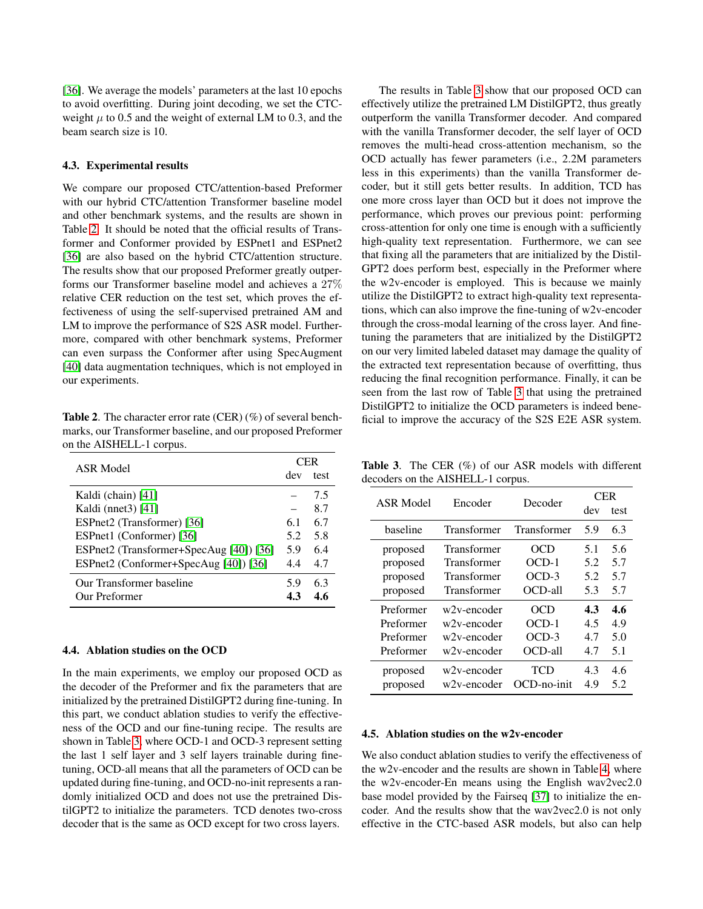[\[36\]](#page-6-12). We average the models' parameters at the last 10 epochs to avoid overfitting. During joint decoding, we set the CTCweight  $\mu$  to 0.5 and the weight of external LM to 0.3, and the beam search size is 10.

#### 4.3. Experimental results

We compare our proposed CTC/attention-based Preformer with our hybrid CTC/attention Transformer baseline model and other benchmark systems, and the results are shown in Table [2.](#page-3-0) It should be noted that the official results of Transformer and Conformer provided by ESPnet1 and ESPnet2 [\[36\]](#page-6-12) are also based on the hybrid CTC/attention structure. The results show that our proposed Preformer greatly outperforms our Transformer baseline model and achieves a 27% relative CER reduction on the test set, which proves the effectiveness of using the self-supervised pretrained AM and LM to improve the performance of S2S ASR model. Furthermore, compared with other benchmark systems, Preformer can even surpass the Conformer after using SpecAugment [\[40\]](#page-6-16) data augmentation techniques, which is not employed in our experiments.

<span id="page-3-0"></span>Table 2. The character error rate (CER) (%) of several benchmarks, our Transformer baseline, and our proposed Preformer on the AISHELL-1 corpus.

| ASR Model                               | ЕR  |      |  |
|-----------------------------------------|-----|------|--|
|                                         | dev | test |  |
| Kaldi (chain) [41]                      |     | 75   |  |
| Kaldi (nnet $3$ ) [41]                  |     | 8.7  |  |
| ESPnet2 (Transformer) [36]              |     | 6.7  |  |
| ESPnet1 (Conformer) [36]                |     | 5.8  |  |
| ESPnet2 (Transformer+SpecAug [40]) [36] |     | 6.4  |  |
| ESPnet2 (Conformer+SpecAug [40]) [36]   | 4.4 | 4.7  |  |
| Our Transformer baseline                | 5.9 | 63   |  |
| Our Preformer                           | 43  | 46   |  |

## 4.4. Ablation studies on the OCD

In the main experiments, we employ our proposed OCD as the decoder of the Preformer and fix the parameters that are initialized by the pretrained DistilGPT2 during fine-tuning. In this part, we conduct ablation studies to verify the effectiveness of the OCD and our fine-tuning recipe. The results are shown in Table [3,](#page-3-1) where OCD-1 and OCD-3 represent setting the last 1 self layer and 3 self layers trainable during finetuning, OCD-all means that all the parameters of OCD can be updated during fine-tuning, and OCD-no-init represents a randomly initialized OCD and does not use the pretrained DistilGPT2 to initialize the parameters. TCD denotes two-cross decoder that is the same as OCD except for two cross layers.

The results in Table [3](#page-3-1) show that our proposed OCD can effectively utilize the pretrained LM DistilGPT2, thus greatly outperform the vanilla Transformer decoder. And compared with the vanilla Transformer decoder, the self layer of OCD removes the multi-head cross-attention mechanism, so the OCD actually has fewer parameters (i.e., 2.2M parameters less in this experiments) than the vanilla Transformer decoder, but it still gets better results. In addition, TCD has one more cross layer than OCD but it does not improve the performance, which proves our previous point: performing cross-attention for only one time is enough with a sufficiently high-quality text representation. Furthermore, we can see that fixing all the parameters that are initialized by the Distil-GPT2 does perform best, especially in the Preformer where the w2v-encoder is employed. This is because we mainly utilize the DistilGPT2 to extract high-quality text representations, which can also improve the fine-tuning of w2v-encoder through the cross-modal learning of the cross layer. And finetuning the parameters that are initialized by the DistilGPT2 on our very limited labeled dataset may damage the quality of the extracted text representation because of overfitting, thus reducing the final recognition performance. Finally, it can be seen from the last row of Table [3](#page-3-1) that using the pretrained DistilGPT2 to initialize the OCD parameters is indeed beneficial to improve the accuracy of the S2S E2E ASR system.

<span id="page-3-1"></span>Table 3. The CER (%) of our ASR models with different decoders on the AISHELL-1 corpus.

| <b>ASR Model</b> | Encoder     | Decoder        | <b>CER</b> |      |
|------------------|-------------|----------------|------------|------|
|                  |             |                | dev        | test |
| baseline         | Transformer | Transformer    | 5.9        | 6.3  |
| proposed         | Transformer | OCD            | 5.1        | 5.6  |
| proposed         | Transformer | $OCD-1$        | 5.2        | 5.7  |
| proposed         | Transformer | $OCD-3$        | 5.2        | 5.7  |
| proposed         | Transformer | $OCD-all$      | 5.3        | 5.7  |
| Preformer        | w2v-encoder | OCD            | 4.3        | 4.6  |
| Preformer        | w2v-encoder | $OCD-1$        | 4.5        | 4.9  |
| Preformer        | w2v-encoder | $OCD-3$        | 4.7        | 5.0  |
| Preformer        | w2v-encoder |                | 4.7        | 5.1  |
| proposed         | w2v-encoder | TCD            | 4.3        | 4.6  |
| proposed         | w2v-encoder | $OCD$ -no-init | 4.9        | 5.2  |

#### 4.5. Ablation studies on the w2v-encoder

We also conduct ablation studies to verify the effectiveness of the w2v-encoder and the results are shown in Table [4,](#page-4-7) where the w2v-encoder-En means using the English wav2vec2.0 base model provided by the Fairseq [\[37\]](#page-6-13) to initialize the encoder. And the results show that the wav2vec2.0 is not only effective in the CTC-based ASR models, but also can help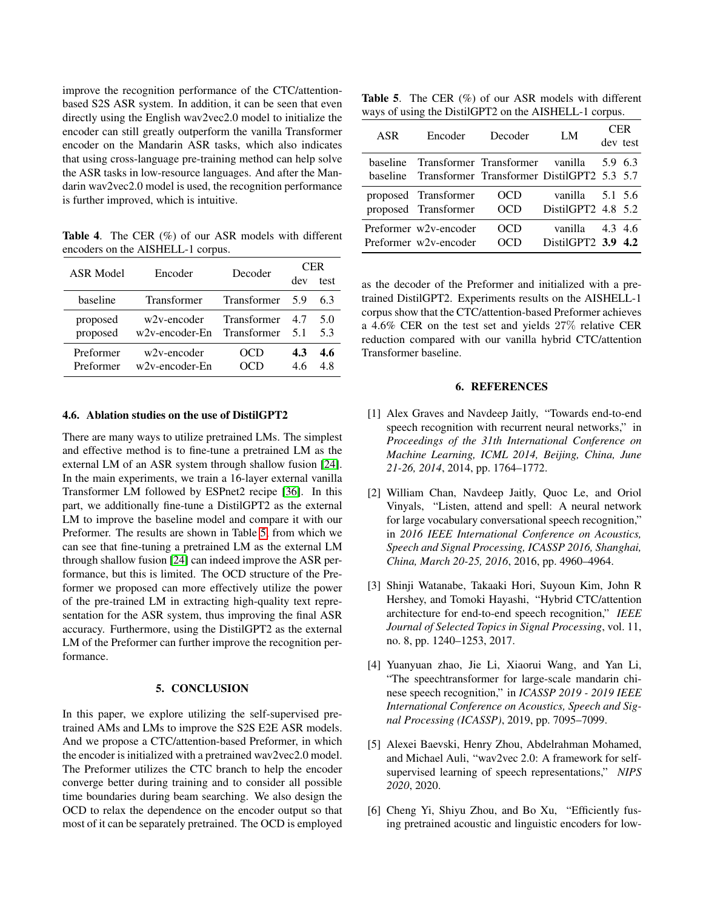improve the recognition performance of the CTC/attentionbased S2S ASR system. In addition, it can be seen that even directly using the English wav2vec2.0 model to initialize the encoder can still greatly outperform the vanilla Transformer encoder on the Mandarin ASR tasks, which also indicates that using cross-language pre-training method can help solve the ASR tasks in low-resource languages. And after the Mandarin wav2vec2.0 model is used, the recognition performance is further improved, which is intuitive.

<span id="page-4-7"></span>Table 4. The CER (%) of our ASR models with different encoders on the AISHELL-1 corpus.

| ASR Model | Encoder            | Decoder            | CER |      |
|-----------|--------------------|--------------------|-----|------|
|           |                    |                    | dev | test |
| baseline  | <b>Transformer</b> | <b>Transformer</b> | -59 | 63   |
| proposed  | w2v-encoder        | Transformer        | 47  | 5.0  |
| proposed  | w2v-encoder-En     | Transformer        | 51  | 5.3  |
| Preformer | w2y-encoder        | OCD                | 4.3 | 4.6  |
| Preformer | $w2v$ -encoder-En  |                    | 46  | 48   |

# 4.6. Ablation studies on the use of DistilGPT2

There are many ways to utilize pretrained LMs. The simplest and effective method is to fine-tune a pretrained LM as the external LM of an ASR system through shallow fusion [\[24\]](#page-6-0). In the main experiments, we train a 16-layer external vanilla Transformer LM followed by ESPnet2 recipe [\[36\]](#page-6-12). In this part, we additionally fine-tune a DistilGPT2 as the external LM to improve the baseline model and compare it with our Preformer. The results are shown in Table [5,](#page-4-8) from which we can see that fine-tuning a pretrained LM as the external LM through shallow fusion [\[24\]](#page-6-0) can indeed improve the ASR performance, but this is limited. The OCD structure of the Preformer we proposed can more effectively utilize the power of the pre-trained LM in extracting high-quality text representation for the ASR system, thus improving the final ASR accuracy. Furthermore, using the DistilGPT2 as the external LM of the Preformer can further improve the recognition performance.

# 5. CONCLUSION

<span id="page-4-6"></span>In this paper, we explore utilizing the self-supervised pretrained AMs and LMs to improve the S2S E2E ASR models. And we propose a CTC/attention-based Preformer, in which the encoder is initialized with a pretrained wav2vec2.0 model. The Preformer utilizes the CTC branch to help the encoder converge better during training and to consider all possible time boundaries during beam searching. We also design the OCD to relax the dependence on the encoder output so that most of it can be separately pretrained. The OCD is employed

<span id="page-4-8"></span>Table 5. The CER (%) of our ASR models with different ways of using the DistilGPT2 on the AISHELL-1 corpus.

| ASR | Encoder                                             | Decoder | LM                 | CER.    |          |
|-----|-----------------------------------------------------|---------|--------------------|---------|----------|
|     |                                                     |         |                    |         | dev test |
|     | baseline Transformer Transformer vanilla            |         |                    | 5.9 6.3 |          |
|     | baseline Transformer Transformer DistilGPT2 5.3 5.7 |         |                    |         |          |
|     | proposed Transformer                                | OCD     | vanilla $5.1$ 5.6  |         |          |
|     | proposed Transformer                                | OCD     | DistilGPT2 4.8 5.2 |         |          |
|     | Preformer w2v-encoder                               | OCD     | vanilla            | 4.3 4.6 |          |
|     | Preformer w2v-encoder                               |         | DistilGPT2 3.9 4.2 |         |          |

as the decoder of the Preformer and initialized with a pretrained DistilGPT2. Experiments results on the AISHELL-1 corpus show that the CTC/attention-based Preformer achieves a 4.6% CER on the test set and yields 27% relative CER reduction compared with our vanilla hybrid CTC/attention Transformer baseline.

#### 6. REFERENCES

- <span id="page-4-0"></span>[1] Alex Graves and Navdeep Jaitly, "Towards end-to-end speech recognition with recurrent neural networks," in *Proceedings of the 31th International Conference on Machine Learning, ICML 2014, Beijing, China, June 21-26, 2014*, 2014, pp. 1764–1772.
- <span id="page-4-1"></span>[2] William Chan, Navdeep Jaitly, Quoc Le, and Oriol Vinyals, "Listen, attend and spell: A neural network for large vocabulary conversational speech recognition," in *2016 IEEE International Conference on Acoustics, Speech and Signal Processing, ICASSP 2016, Shanghai, China, March 20-25, 2016*, 2016, pp. 4960–4964.
- <span id="page-4-2"></span>[3] Shinji Watanabe, Takaaki Hori, Suyoun Kim, John R Hershey, and Tomoki Hayashi, "Hybrid CTC/attention architecture for end-to-end speech recognition," *IEEE Journal of Selected Topics in Signal Processing*, vol. 11, no. 8, pp. 1240–1253, 2017.
- <span id="page-4-3"></span>[4] Yuanyuan zhao, Jie Li, Xiaorui Wang, and Yan Li, "The speechtransformer for large-scale mandarin chinese speech recognition," in *ICASSP 2019 - 2019 IEEE International Conference on Acoustics, Speech and Signal Processing (ICASSP)*, 2019, pp. 7095–7099.
- <span id="page-4-4"></span>[5] Alexei Baevski, Henry Zhou, Abdelrahman Mohamed, and Michael Auli, "wav2vec 2.0: A framework for selfsupervised learning of speech representations," *NIPS 2020*, 2020.
- <span id="page-4-5"></span>[6] Cheng Yi, Shiyu Zhou, and Bo Xu, "Efficiently fusing pretrained acoustic and linguistic encoders for low-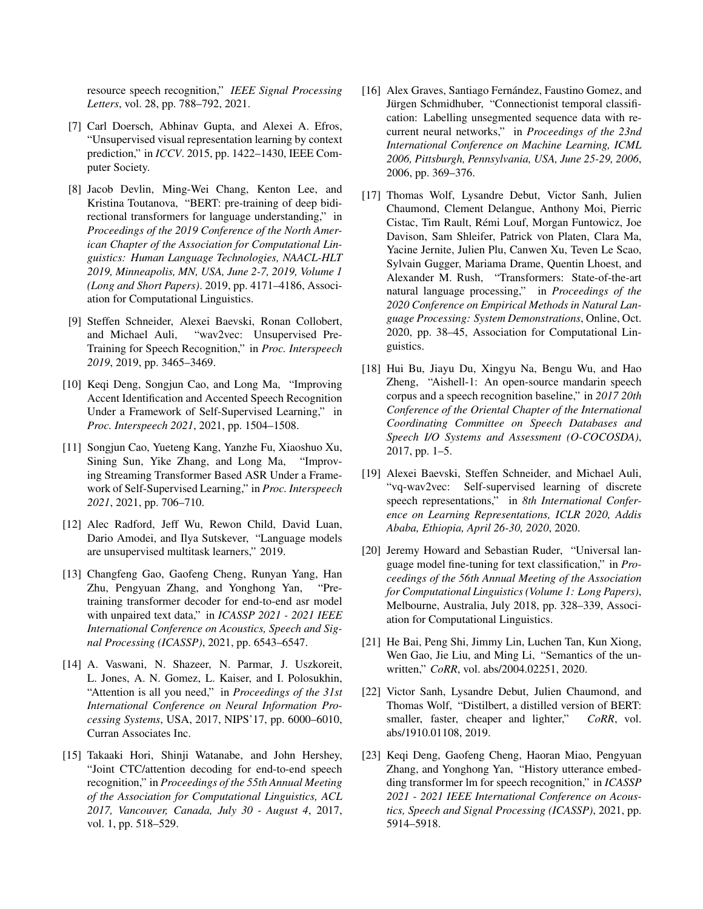resource speech recognition," *IEEE Signal Processing Letters*, vol. 28, pp. 788–792, 2021.

- <span id="page-5-0"></span>[7] Carl Doersch, Abhinav Gupta, and Alexei A. Efros, "Unsupervised visual representation learning by context prediction," in *ICCV*. 2015, pp. 1422–1430, IEEE Computer Society.
- <span id="page-5-1"></span>[8] Jacob Devlin, Ming-Wei Chang, Kenton Lee, and Kristina Toutanova, "BERT: pre-training of deep bidirectional transformers for language understanding," in *Proceedings of the 2019 Conference of the North American Chapter of the Association for Computational Linguistics: Human Language Technologies, NAACL-HLT 2019, Minneapolis, MN, USA, June 2-7, 2019, Volume 1 (Long and Short Papers)*. 2019, pp. 4171–4186, Association for Computational Linguistics.
- <span id="page-5-2"></span>[9] Steffen Schneider, Alexei Baevski, Ronan Collobert, and Michael Auli, "wav2vec: Unsupervised Pre-Training for Speech Recognition," in *Proc. Interspeech 2019*, 2019, pp. 3465–3469.
- <span id="page-5-3"></span>[10] Keqi Deng, Songjun Cao, and Long Ma, "Improving Accent Identification and Accented Speech Recognition Under a Framework of Self-Supervised Learning," in *Proc. Interspeech 2021*, 2021, pp. 1504–1508.
- <span id="page-5-4"></span>[11] Songjun Cao, Yueteng Kang, Yanzhe Fu, Xiaoshuo Xu, Sining Sun, Yike Zhang, and Long Ma, "Improving Streaming Transformer Based ASR Under a Framework of Self-Supervised Learning," in *Proc. Interspeech 2021*, 2021, pp. 706–710.
- <span id="page-5-5"></span>[12] Alec Radford, Jeff Wu, Rewon Child, David Luan, Dario Amodei, and Ilya Sutskever, "Language models are unsupervised multitask learners," 2019.
- <span id="page-5-6"></span>[13] Changfeng Gao, Gaofeng Cheng, Runyan Yang, Han Zhu, Pengyuan Zhang, and Yonghong Yan, "Pretraining transformer decoder for end-to-end asr model with unpaired text data," in *ICASSP 2021 - 2021 IEEE International Conference on Acoustics, Speech and Signal Processing (ICASSP)*, 2021, pp. 6543–6547.
- <span id="page-5-7"></span>[14] A. Vaswani, N. Shazeer, N. Parmar, J. Uszkoreit, L. Jones, A. N. Gomez, L. Kaiser, and I. Polosukhin, "Attention is all you need," in *Proceedings of the 31st International Conference on Neural Information Processing Systems*, USA, 2017, NIPS'17, pp. 6000–6010, Curran Associates Inc.
- <span id="page-5-8"></span>[15] Takaaki Hori, Shinji Watanabe, and John Hershey, "Joint CTC/attention decoding for end-to-end speech recognition," in *Proceedings of the 55th Annual Meeting of the Association for Computational Linguistics, ACL 2017, Vancouver, Canada, July 30 - August 4*, 2017, vol. 1, pp. 518–529.
- <span id="page-5-9"></span>[16] Alex Graves, Santiago Fernández, Faustino Gomez, and Jürgen Schmidhuber, "Connectionist temporal classification: Labelling unsegmented sequence data with recurrent neural networks," in *Proceedings of the 23nd International Conference on Machine Learning, ICML 2006, Pittsburgh, Pennsylvania, USA, June 25-29, 2006*, 2006, pp. 369–376.
- <span id="page-5-10"></span>[17] Thomas Wolf, Lysandre Debut, Victor Sanh, Julien Chaumond, Clement Delangue, Anthony Moi, Pierric Cistac, Tim Rault, Remi Louf, Morgan Funtowicz, Joe ´ Davison, Sam Shleifer, Patrick von Platen, Clara Ma, Yacine Jernite, Julien Plu, Canwen Xu, Teven Le Scao, Sylvain Gugger, Mariama Drame, Quentin Lhoest, and Alexander M. Rush, "Transformers: State-of-the-art natural language processing," in *Proceedings of the 2020 Conference on Empirical Methods in Natural Language Processing: System Demonstrations*, Online, Oct. 2020, pp. 38–45, Association for Computational Linguistics.
- <span id="page-5-11"></span>[18] Hui Bu, Jiayu Du, Xingyu Na, Bengu Wu, and Hao Zheng, "Aishell-1: An open-source mandarin speech corpus and a speech recognition baseline," in *2017 20th Conference of the Oriental Chapter of the International Coordinating Committee on Speech Databases and Speech I/O Systems and Assessment (O-COCOSDA)*, 2017, pp. 1–5.
- <span id="page-5-12"></span>[19] Alexei Baevski, Steffen Schneider, and Michael Auli, "vq-wav2vec: Self-supervised learning of discrete speech representations," in *8th International Conference on Learning Representations, ICLR 2020, Addis Ababa, Ethiopia, April 26-30, 2020*, 2020.
- <span id="page-5-13"></span>[20] Jeremy Howard and Sebastian Ruder, "Universal language model fine-tuning for text classification," in *Proceedings of the 56th Annual Meeting of the Association for Computational Linguistics (Volume 1: Long Papers)*, Melbourne, Australia, July 2018, pp. 328–339, Association for Computational Linguistics.
- <span id="page-5-14"></span>[21] He Bai, Peng Shi, Jimmy Lin, Luchen Tan, Kun Xiong, Wen Gao, Jie Liu, and Ming Li, "Semantics of the unwritten," *CoRR*, vol. abs/2004.02251, 2020.
- <span id="page-5-15"></span>[22] Victor Sanh, Lysandre Debut, Julien Chaumond, and Thomas Wolf, "Distilbert, a distilled version of BERT: smaller, faster, cheaper and lighter," *CoRR*, vol. abs/1910.01108, 2019.
- <span id="page-5-16"></span>[23] Keqi Deng, Gaofeng Cheng, Haoran Miao, Pengyuan Zhang, and Yonghong Yan, "History utterance embedding transformer lm for speech recognition," in *ICASSP 2021 - 2021 IEEE International Conference on Acoustics, Speech and Signal Processing (ICASSP)*, 2021, pp. 5914–5918.